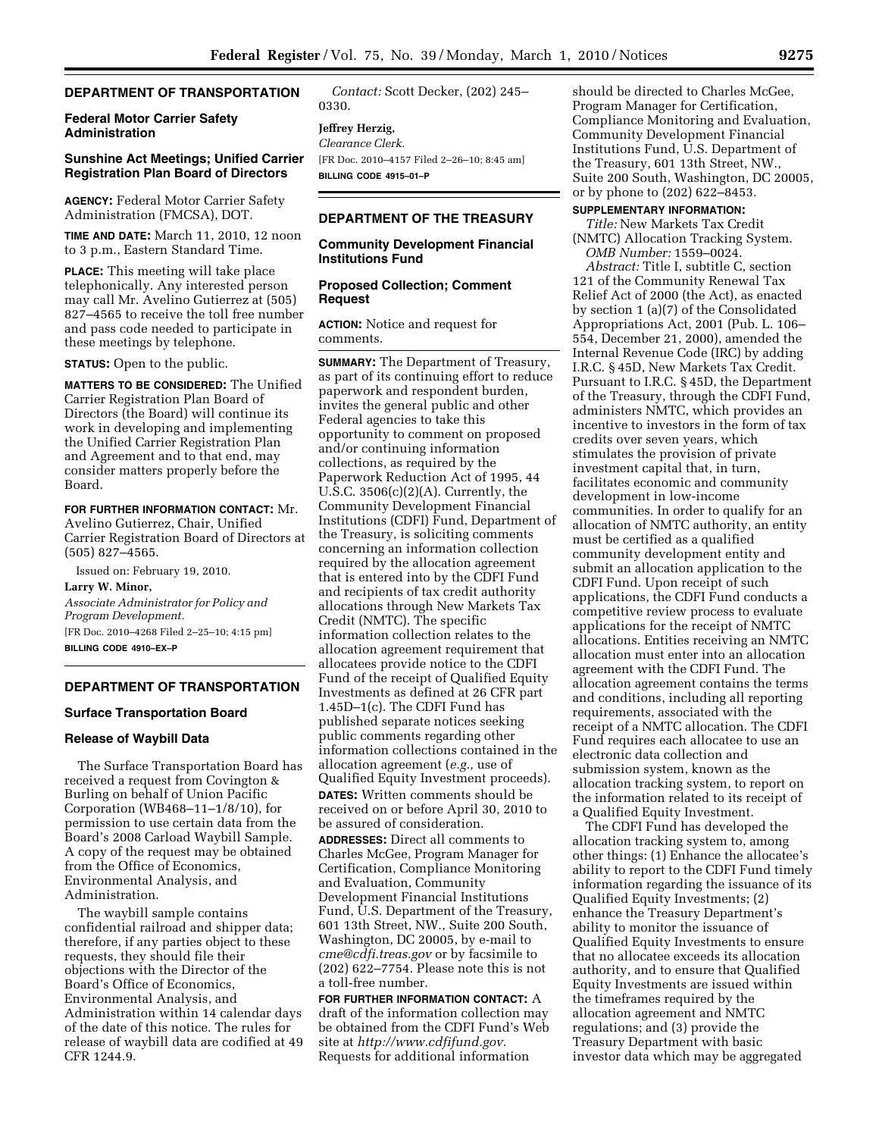# **DEPARTMENT OF TRANSPORTATION**

## **Federal Motor Carrier Safety Administration**

## **Sunshine Act Meetings; Unified Carrier Registration Plan Board of Directors**

**AGENCY:** Federal Motor Carrier Safety Administration (FMCSA), DOT.

**TIME AND DATE:** March 11, 2010, 12 noon to 3 p.m., Eastern Standard Time.

**PLACE:** This meeting will take place telephonically. Any interested person may call Mr. Avelino Gutierrez at (505) 827–4565 to receive the toll free number and pass code needed to participate in these meetings by telephone.

**STATUS:** Open to the public.

**MATTERS TO BE CONSIDERED:** The Unified Carrier Registration Plan Board of Directors (the Board) will continue its work in developing and implementing the Unified Carrier Registration Plan and Agreement and to that end, may consider matters properly before the Board.

#### **FOR FURTHER INFORMATION CONTACT:** Mr.

Avelino Gutierrez, Chair, Unified Carrier Registration Board of Directors at (505) 827–4565.

Issued on: February 19, 2010.

**Larry W. Minor,** 

*Associate Administrator for Policy and Program Development.*  [FR Doc. 2010–4268 Filed 2–25–10; 4:15 pm]

**BILLING CODE 4910–EX–P** 

## **DEPARTMENT OF TRANSPORTATION**

#### **Surface Transportation Board**

## **Release of Waybill Data**

The Surface Transportation Board has received a request from Covington & Burling on behalf of Union Pacific Corporation (WB468–11–1/8/10), for permission to use certain data from the Board's 2008 Carload Waybill Sample. A copy of the request may be obtained from the Office of Economics, Environmental Analysis, and Administration.

The waybill sample contains confidential railroad and shipper data; therefore, if any parties object to these requests, they should file their objections with the Director of the Board's Office of Economics, Environmental Analysis, and Administration within 14 calendar days of the date of this notice. The rules for release of waybill data are codified at 49 CFR 1244.9.

*Contact:* Scott Decker, (202) 245– 0330.

# **Jeffrey Herzig,**

*Clearance Clerk.*  [FR Doc. 2010–4157 Filed 2–26–10; 8:45 am] **BILLING CODE 4915–01–P** 

## **DEPARTMENT OF THE TREASURY**

### **Community Development Financial Institutions Fund**

#### **Proposed Collection; Comment Request**

**ACTION:** Notice and request for comments.

**SUMMARY:** The Department of Treasury, as part of its continuing effort to reduce paperwork and respondent burden, invites the general public and other Federal agencies to take this opportunity to comment on proposed and/or continuing information collections, as required by the Paperwork Reduction Act of 1995, 44 U.S.C. 3506(c)(2)(A). Currently, the Community Development Financial Institutions (CDFI) Fund, Department of the Treasury, is soliciting comments concerning an information collection required by the allocation agreement that is entered into by the CDFI Fund and recipients of tax credit authority allocations through New Markets Tax Credit (NMTC). The specific information collection relates to the allocation agreement requirement that allocatees provide notice to the CDFI Fund of the receipt of Qualified Equity Investments as defined at 26 CFR part 1.45D–1(c). The CDFI Fund has published separate notices seeking public comments regarding other information collections contained in the allocation agreement (*e.g.,* use of Qualified Equity Investment proceeds). **DATES:** Written comments should be received on or before April 30, 2010 to be assured of consideration.

**ADDRESSES:** Direct all comments to Charles McGee, Program Manager for Certification, Compliance Monitoring and Evaluation, Community Development Financial Institutions Fund, U.S. Department of the Treasury, 601 13th Street, NW., Suite 200 South, Washington, DC 20005, by e-mail to *cme@cdfi.treas.gov* or by facsimile to (202) 622–7754. Please note this is not a toll-free number.

**FOR FURTHER INFORMATION CONTACT:** A draft of the information collection may be obtained from the CDFI Fund's Web site at *http://www.cdfifund.gov.*  Requests for additional information

should be directed to Charles McGee, Program Manager for Certification, Compliance Monitoring and Evaluation, Community Development Financial Institutions Fund, U.S. Department of the Treasury, 601 13th Street, NW., Suite 200 South, Washington, DC 20005, or by phone to (202) 622–8453.

## **SUPPLEMENTARY INFORMATION:**

*Title:* New Markets Tax Credit (NMTC) Allocation Tracking System. *OMB Number:* 1559–0024.

*Abstract:* Title I, subtitle C, section 121 of the Community Renewal Tax Relief Act of 2000 (the Act), as enacted by section 1 (a)(7) of the Consolidated Appropriations Act, 2001 (Pub. L. 106– 554, December 21, 2000), amended the Internal Revenue Code (IRC) by adding I.R.C. § 45D, New Markets Tax Credit. Pursuant to I.R.C. § 45D, the Department of the Treasury, through the CDFI Fund, administers NMTC, which provides an incentive to investors in the form of tax credits over seven years, which stimulates the provision of private investment capital that, in turn, facilitates economic and community development in low-income communities. In order to qualify for an allocation of NMTC authority, an entity must be certified as a qualified community development entity and submit an allocation application to the CDFI Fund. Upon receipt of such applications, the CDFI Fund conducts a competitive review process to evaluate applications for the receipt of NMTC allocations. Entities receiving an NMTC allocation must enter into an allocation agreement with the CDFI Fund. The allocation agreement contains the terms and conditions, including all reporting requirements, associated with the receipt of a NMTC allocation. The CDFI Fund requires each allocatee to use an electronic data collection and submission system, known as the allocation tracking system, to report on the information related to its receipt of a Qualified Equity Investment.

The CDFI Fund has developed the allocation tracking system to, among other things: (1) Enhance the allocatee's ability to report to the CDFI Fund timely information regarding the issuance of its Qualified Equity Investments; (2) enhance the Treasury Department's ability to monitor the issuance of Qualified Equity Investments to ensure that no allocatee exceeds its allocation authority, and to ensure that Qualified Equity Investments are issued within the timeframes required by the allocation agreement and NMTC regulations; and (3) provide the Treasury Department with basic investor data which may be aggregated